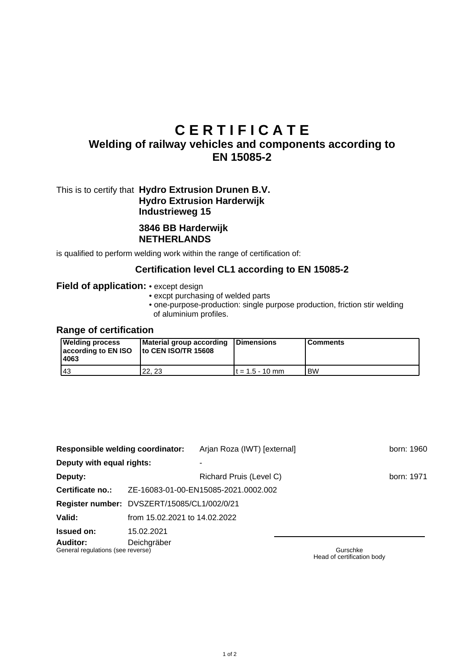# **C E R T I F I C A T E**

# **Welding of railway vehicles and components according to EN 15085-2**

# This is to certify that **Hydro Extrusion Drunen B.V. Hydro Extrusion Harderwijk Industrieweg 15**

#### **3846 BB Harderwijk NETHERLANDS**

is qualified to perform welding work within the range of certification of:

#### **Certification level CL1 according to EN 15085-2**

#### **Field of application:** • except design

- excpt purchasing of welded parts
- one-purpose-production: single purpose production, friction stir welding of aluminium profiles.

#### **Range of certification**

| <b>Welding process</b><br>according to EN ISO<br>4063 | Material group according Dimensions<br>Ito CEN ISO/TR 15608 |                   | <b>Comments</b> |
|-------------------------------------------------------|-------------------------------------------------------------|-------------------|-----------------|
| 143                                                   | 22.23                                                       | $t = 1.5 - 10$ mm | l BW            |

| <b>Responsible welding coordinator:</b>       |                                             | Arjan Roza (IWT) [external] |  |          | born: 1960 |
|-----------------------------------------------|---------------------------------------------|-----------------------------|--|----------|------------|
| Deputy with equal rights:                     |                                             |                             |  |          |            |
| Deputy:                                       |                                             | Richard Pruis (Level C)     |  |          | born: 1971 |
| Certificate no.:                              | ZE-16083-01-00-EN15085-2021.0002.002        |                             |  |          |            |
|                                               | Register number: DVSZERT/15085/CL1/002/0/21 |                             |  |          |            |
| Valid:                                        | from 15.02.2021 to 14.02.2022               |                             |  |          |            |
| <b>Issued on:</b>                             | 15.02.2021                                  |                             |  |          |            |
| Auditor:<br>General regulations (see reverse) | Deichgräber                                 |                             |  | Gurschke |            |

Head of certification body